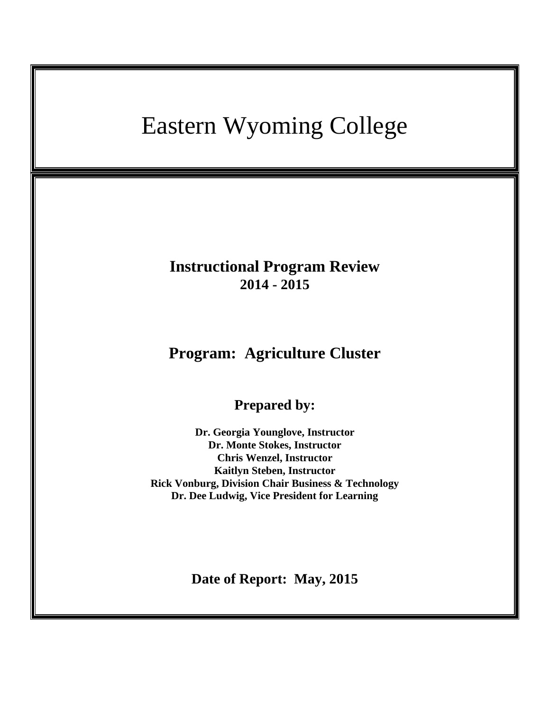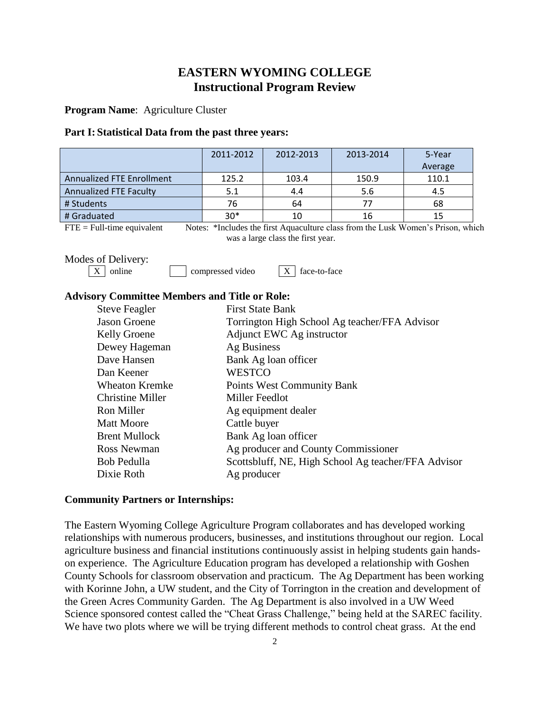# **EASTERN WYOMING COLLEGE Instructional Program Review**

**Program Name**: Agriculture Cluster

#### **Part I: Statistical Data from the past three years:**

|                                                              | 2011-2012                                     | 2012-2013                                           | 2013-2014                                                                        | 5-Year  |  |  |  |
|--------------------------------------------------------------|-----------------------------------------------|-----------------------------------------------------|----------------------------------------------------------------------------------|---------|--|--|--|
|                                                              |                                               |                                                     |                                                                                  | Average |  |  |  |
| <b>Annualized FTE Enrollment</b>                             | 125.2                                         | 103.4                                               | 150.9                                                                            | 110.1   |  |  |  |
| Annualized FTE Faculty                                       | 5.1                                           | 4.4                                                 | 5.6                                                                              | 4.5     |  |  |  |
| # Students                                                   | 76                                            | 64                                                  | 77                                                                               | 68      |  |  |  |
| # Graduated                                                  | $30*$                                         | 10<br>16                                            |                                                                                  | 15      |  |  |  |
| $FTE = Full-time equivalent$                                 |                                               |                                                     | Notes: *Includes the first Aquaculture class from the Lusk Women's Prison, which |         |  |  |  |
|                                                              |                                               | was a large class the first year.                   |                                                                                  |         |  |  |  |
| Modes of Delivery:                                           |                                               |                                                     |                                                                                  |         |  |  |  |
| online<br>face-to-face<br>compressed video<br>X <sub>1</sub> |                                               |                                                     |                                                                                  |         |  |  |  |
|                                                              |                                               |                                                     |                                                                                  |         |  |  |  |
| <b>Advisory Committee Members and Title or Role:</b>         |                                               |                                                     |                                                                                  |         |  |  |  |
| <b>Steve Feagler</b>                                         | <b>First State Bank</b>                       |                                                     |                                                                                  |         |  |  |  |
| <b>Jason Groene</b>                                          | Torrington High School Ag teacher/FFA Advisor |                                                     |                                                                                  |         |  |  |  |
| <b>Kelly Groene</b>                                          | Adjunct EWC Ag instructor                     |                                                     |                                                                                  |         |  |  |  |
| Dewey Hageman                                                | Ag Business                                   |                                                     |                                                                                  |         |  |  |  |
| Dave Hansen                                                  | Bank Ag loan officer                          |                                                     |                                                                                  |         |  |  |  |
| Dan Keener                                                   | <b>WESTCO</b>                                 |                                                     |                                                                                  |         |  |  |  |
| <b>Wheaton Kremke</b>                                        | <b>Points West Community Bank</b>             |                                                     |                                                                                  |         |  |  |  |
| <b>Christine Miller</b>                                      | Miller Feedlot                                |                                                     |                                                                                  |         |  |  |  |
| <b>Ron Miller</b>                                            |                                               |                                                     |                                                                                  |         |  |  |  |
| <b>Matt Moore</b>                                            |                                               | Ag equipment dealer                                 |                                                                                  |         |  |  |  |
|                                                              |                                               | Cattle buyer                                        |                                                                                  |         |  |  |  |
| <b>Brent Mullock</b>                                         |                                               | Bank Ag loan officer                                |                                                                                  |         |  |  |  |
| <b>Ross Newman</b>                                           |                                               | Ag producer and County Commissioner                 |                                                                                  |         |  |  |  |
| <b>Bob Pedulla</b>                                           |                                               | Scottsbluff, NE, High School Ag teacher/FFA Advisor |                                                                                  |         |  |  |  |
| Dixie Roth                                                   |                                               | Ag producer                                         |                                                                                  |         |  |  |  |

## **Community Partners or Internships:**

The Eastern Wyoming College Agriculture Program collaborates and has developed working relationships with numerous producers, businesses, and institutions throughout our region. Local agriculture business and financial institutions continuously assist in helping students gain handson experience. The Agriculture Education program has developed a relationship with Goshen County Schools for classroom observation and practicum. The Ag Department has been working with Korinne John, a UW student, and the City of Torrington in the creation and development of the Green Acres Community Garden. The Ag Department is also involved in a UW Weed Science sponsored contest called the "Cheat Grass Challenge," being held at the SAREC facility. We have two plots where we will be trying different methods to control cheat grass. At the end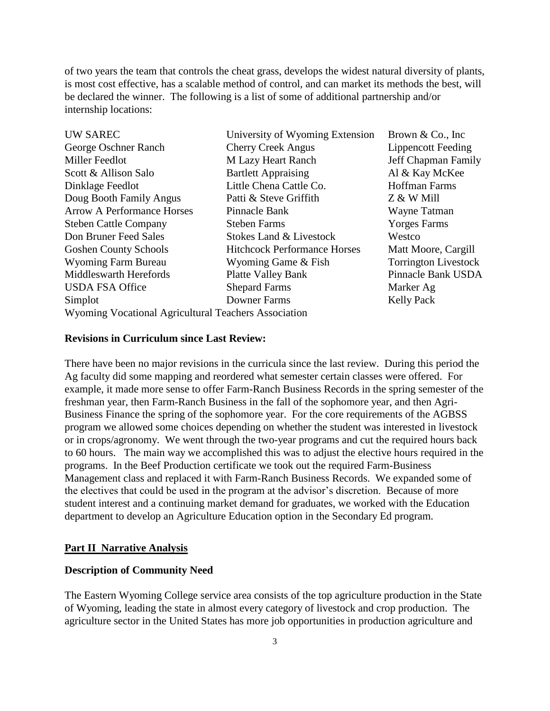of two years the team that controls the cheat grass, develops the widest natural diversity of plants, is most cost effective, has a scalable method of control, and can market its methods the best, will be declared the winner. The following is a list of some of additional partnership and/or internship locations:

| University of Wyoming Extension     | Brown $& Co., Inc$                                   |
|-------------------------------------|------------------------------------------------------|
| <b>Cherry Creek Angus</b>           | <b>Lippencott Feeding</b>                            |
| M Lazy Heart Ranch                  | Jeff Chapman Family                                  |
| <b>Bartlett Appraising</b>          | Al & Kay McKee                                       |
| Little Chena Cattle Co.             | <b>Hoffman Farms</b>                                 |
| Patti & Steve Griffith              | Z & W Mill                                           |
| Pinnacle Bank                       | Wayne Tatman                                         |
| <b>Steben Farms</b>                 | <b>Yorges Farms</b>                                  |
| Stokes Land & Livestock             | Westco                                               |
| <b>Hitchcock Performance Horses</b> | Matt Moore, Cargill                                  |
| Wyoming Game & Fish                 | <b>Torrington Livestock</b>                          |
| <b>Platte Valley Bank</b>           | Pinnacle Bank USDA                                   |
| <b>Shepard Farms</b>                | Marker Ag                                            |
| Downer Farms                        | <b>Kelly Pack</b>                                    |
|                                     |                                                      |
|                                     | Wyoming Vocational Agricultural Teachers Association |

#### **Revisions in Curriculum since Last Review:**

There have been no major revisions in the curricula since the last review. During this period the Ag faculty did some mapping and reordered what semester certain classes were offered. For example, it made more sense to offer Farm-Ranch Business Records in the spring semester of the freshman year, then Farm-Ranch Business in the fall of the sophomore year, and then Agri-Business Finance the spring of the sophomore year. For the core requirements of the AGBSS program we allowed some choices depending on whether the student was interested in livestock or in crops/agronomy. We went through the two-year programs and cut the required hours back to 60 hours. The main way we accomplished this was to adjust the elective hours required in the programs. In the Beef Production certificate we took out the required Farm-Business Management class and replaced it with Farm-Ranch Business Records. We expanded some of the electives that could be used in the program at the advisor's discretion. Because of more student interest and a continuing market demand for graduates, we worked with the Education department to develop an Agriculture Education option in the Secondary Ed program.

### **Part II Narrative Analysis**

## **Description of Community Need**

The Eastern Wyoming College service area consists of the top agriculture production in the State of Wyoming, leading the state in almost every category of livestock and crop production. The agriculture sector in the United States has more job opportunities in production agriculture and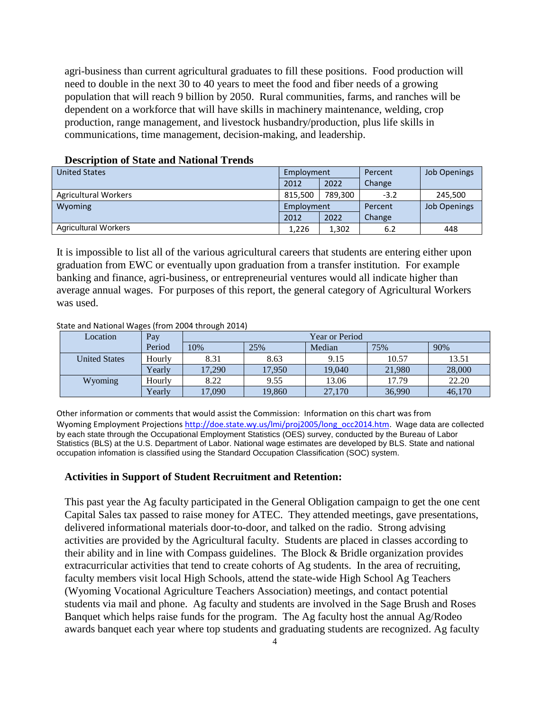agri-business than current agricultural graduates to fill these positions. Food production will need to double in the next 30 to 40 years to meet the food and fiber needs of a growing population that will reach 9 billion by 2050. Rural communities, farms, and ranches will be dependent on a workforce that will have skills in machinery maintenance, welding, crop production, range management, and livestock husbandry/production, plus life skills in communications, time management, decision-making, and leadership.

| <b>United States</b>        | Employment |         | Percent | <b>Job Openings</b> |
|-----------------------------|------------|---------|---------|---------------------|
|                             | 2012       | 2022    | Change  |                     |
| <b>Agricultural Workers</b> | 815,500    | 789,300 | $-3.2$  | 245,500             |
| <b>Wyoming</b>              | Employment |         | Percent | <b>Job Openings</b> |
|                             | 2012       | 2022    | Change  |                     |
| <b>Agricultural Workers</b> | 1,226      | 1,302   | 6.2     | 448                 |

### **Description of State and National Trends**

It is impossible to list all of the various agricultural careers that students are entering either upon graduation from EWC or eventually upon graduation from a transfer institution. For example banking and finance, agri-business, or entrepreneurial ventures would all indicate higher than average annual wages. For purposes of this report, the general category of Agricultural Workers was used.

#### State and National Wages (from 2004 through 2014)

| Location             | Pay    | <b>Year or Period</b> |        |        |        |        |
|----------------------|--------|-----------------------|--------|--------|--------|--------|
|                      | Period | 10%                   | 25%    | Median | 75%    | 90%    |
| <b>United States</b> | Hourly | 8.31                  | 8.63   | 9.15   | 10.57  | 13.51  |
|                      | Yearly | 17.290                | 17,950 | 19,040 | 21,980 | 28,000 |
| Wyoming              | Hourly | 8.22                  | 9.55   | 13.06  | 17.79  | 22.20  |
|                      | Yearly | 17,090                | 19,860 | 27,170 | 36,990 | 46,170 |

Other information or comments that would assist the Commission: Information on this chart was from Wyoming Employment Projections [http://doe.state.wy.us/lmi/proj2005/long\\_occ2014.htm.](http://doe.state.wy.us/lmi/proj2005/long_occ2014.htm) Wage data are collected by each state through the Occupational Employment Statistics (OES) survey, conducted by the Bureau of Labor Statistics (BLS) at the U.S. Department of Labor. National wage estimates are developed by BLS. State and national occupation infomation is classified using the Standard Occupation Classification (SOC) system.

#### **Activities in Support of Student Recruitment and Retention:**

This past year the Ag faculty participated in the General Obligation campaign to get the one cent Capital Sales tax passed to raise money for ATEC. They attended meetings, gave presentations, delivered informational materials door-to-door, and talked on the radio. Strong advising activities are provided by the Agricultural faculty. Students are placed in classes according to their ability and in line with Compass guidelines. The Block & Bridle organization provides extracurricular activities that tend to create cohorts of Ag students. In the area of recruiting, faculty members visit local High Schools, attend the state-wide High School Ag Teachers (Wyoming Vocational Agriculture Teachers Association) meetings, and contact potential students via mail and phone. Ag faculty and students are involved in the Sage Brush and Roses Banquet which helps raise funds for the program. The Ag faculty host the annual Ag/Rodeo awards banquet each year where top students and graduating students are recognized. Ag faculty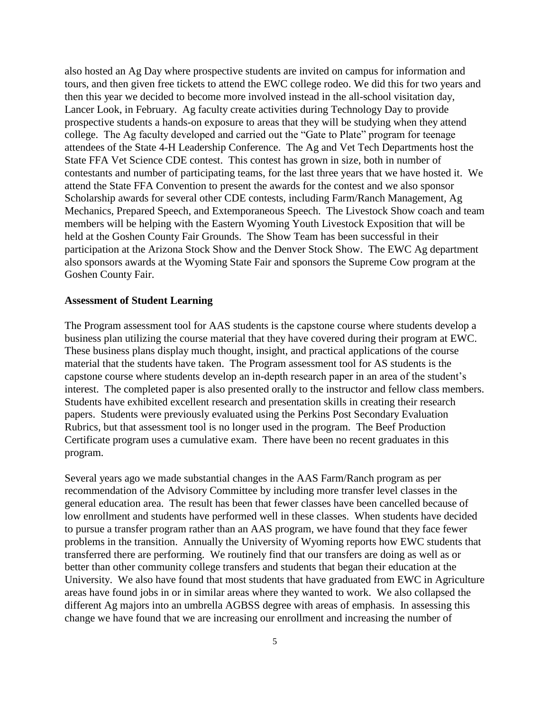also hosted an Ag Day where prospective students are invited on campus for information and tours, and then given free tickets to attend the EWC college rodeo. We did this for two years and then this year we decided to become more involved instead in the all-school visitation day, Lancer Look, in February. Ag faculty create activities during Technology Day to provide prospective students a hands-on exposure to areas that they will be studying when they attend college. The Ag faculty developed and carried out the "Gate to Plate" program for teenage attendees of the State 4-H Leadership Conference. The Ag and Vet Tech Departments host the State FFA Vet Science CDE contest. This contest has grown in size, both in number of contestants and number of participating teams, for the last three years that we have hosted it. We attend the State FFA Convention to present the awards for the contest and we also sponsor Scholarship awards for several other CDE contests, including Farm/Ranch Management, Ag Mechanics, Prepared Speech, and Extemporaneous Speech. The Livestock Show coach and team members will be helping with the Eastern Wyoming Youth Livestock Exposition that will be held at the Goshen County Fair Grounds. The Show Team has been successful in their participation at the Arizona Stock Show and the Denver Stock Show. The EWC Ag department also sponsors awards at the Wyoming State Fair and sponsors the Supreme Cow program at the Goshen County Fair.

#### **Assessment of Student Learning**

The Program assessment tool for AAS students is the capstone course where students develop a business plan utilizing the course material that they have covered during their program at EWC. These business plans display much thought, insight, and practical applications of the course material that the students have taken. The Program assessment tool for AS students is the capstone course where students develop an in-depth research paper in an area of the student's interest. The completed paper is also presented orally to the instructor and fellow class members. Students have exhibited excellent research and presentation skills in creating their research papers. Students were previously evaluated using the Perkins Post Secondary Evaluation Rubrics, but that assessment tool is no longer used in the program. The Beef Production Certificate program uses a cumulative exam. There have been no recent graduates in this program.

Several years ago we made substantial changes in the AAS Farm/Ranch program as per recommendation of the Advisory Committee by including more transfer level classes in the general education area. The result has been that fewer classes have been cancelled because of low enrollment and students have performed well in these classes. When students have decided to pursue a transfer program rather than an AAS program, we have found that they face fewer problems in the transition. Annually the University of Wyoming reports how EWC students that transferred there are performing. We routinely find that our transfers are doing as well as or better than other community college transfers and students that began their education at the University. We also have found that most students that have graduated from EWC in Agriculture areas have found jobs in or in similar areas where they wanted to work. We also collapsed the different Ag majors into an umbrella AGBSS degree with areas of emphasis. In assessing this change we have found that we are increasing our enrollment and increasing the number of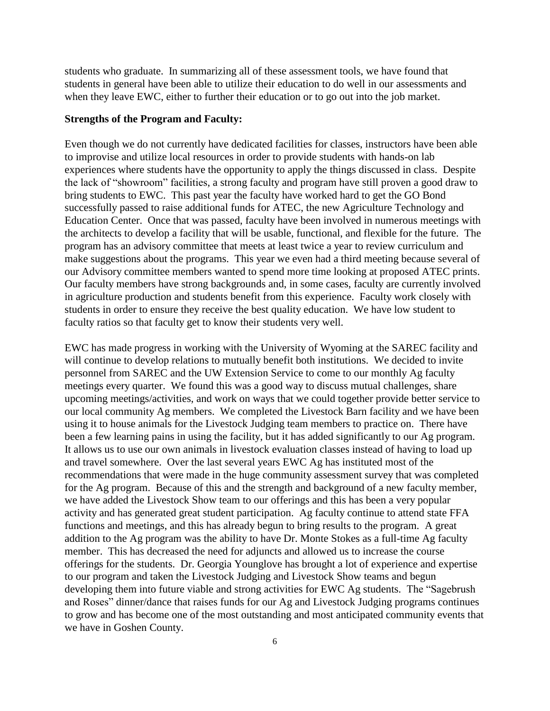students who graduate. In summarizing all of these assessment tools, we have found that students in general have been able to utilize their education to do well in our assessments and when they leave EWC, either to further their education or to go out into the job market.

### **Strengths of the Program and Faculty:**

Even though we do not currently have dedicated facilities for classes, instructors have been able to improvise and utilize local resources in order to provide students with hands-on lab experiences where students have the opportunity to apply the things discussed in class. Despite the lack of "showroom" facilities, a strong faculty and program have still proven a good draw to bring students to EWC. This past year the faculty have worked hard to get the GO Bond successfully passed to raise additional funds for ATEC, the new Agriculture Technology and Education Center. Once that was passed, faculty have been involved in numerous meetings with the architects to develop a facility that will be usable, functional, and flexible for the future. The program has an advisory committee that meets at least twice a year to review curriculum and make suggestions about the programs. This year we even had a third meeting because several of our Advisory committee members wanted to spend more time looking at proposed ATEC prints. Our faculty members have strong backgrounds and, in some cases, faculty are currently involved in agriculture production and students benefit from this experience. Faculty work closely with students in order to ensure they receive the best quality education. We have low student to faculty ratios so that faculty get to know their students very well.

EWC has made progress in working with the University of Wyoming at the SAREC facility and will continue to develop relations to mutually benefit both institutions. We decided to invite personnel from SAREC and the UW Extension Service to come to our monthly Ag faculty meetings every quarter. We found this was a good way to discuss mutual challenges, share upcoming meetings/activities, and work on ways that we could together provide better service to our local community Ag members. We completed the Livestock Barn facility and we have been using it to house animals for the Livestock Judging team members to practice on. There have been a few learning pains in using the facility, but it has added significantly to our Ag program. It allows us to use our own animals in livestock evaluation classes instead of having to load up and travel somewhere. Over the last several years EWC Ag has instituted most of the recommendations that were made in the huge community assessment survey that was completed for the Ag program. Because of this and the strength and background of a new faculty member, we have added the Livestock Show team to our offerings and this has been a very popular activity and has generated great student participation. Ag faculty continue to attend state FFA functions and meetings, and this has already begun to bring results to the program. A great addition to the Ag program was the ability to have Dr. Monte Stokes as a full-time Ag faculty member. This has decreased the need for adjuncts and allowed us to increase the course offerings for the students. Dr. Georgia Younglove has brought a lot of experience and expertise to our program and taken the Livestock Judging and Livestock Show teams and begun developing them into future viable and strong activities for EWC Ag students. The "Sagebrush and Roses" dinner/dance that raises funds for our Ag and Livestock Judging programs continues to grow and has become one of the most outstanding and most anticipated community events that we have in Goshen County.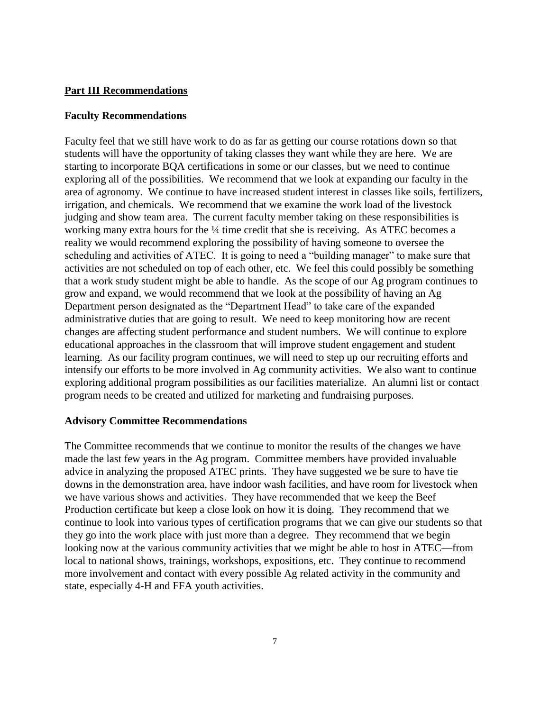## **Part III Recommendations**

## **Faculty Recommendations**

Faculty feel that we still have work to do as far as getting our course rotations down so that students will have the opportunity of taking classes they want while they are here. We are starting to incorporate BQA certifications in some or our classes, but we need to continue exploring all of the possibilities. We recommend that we look at expanding our faculty in the area of agronomy. We continue to have increased student interest in classes like soils, fertilizers, irrigation, and chemicals. We recommend that we examine the work load of the livestock judging and show team area. The current faculty member taking on these responsibilities is working many extra hours for the <sup>1</sup>/4 time credit that she is receiving. As ATEC becomes a reality we would recommend exploring the possibility of having someone to oversee the scheduling and activities of ATEC. It is going to need a "building manager" to make sure that activities are not scheduled on top of each other, etc. We feel this could possibly be something that a work study student might be able to handle. As the scope of our Ag program continues to grow and expand, we would recommend that we look at the possibility of having an Ag Department person designated as the "Department Head" to take care of the expanded administrative duties that are going to result. We need to keep monitoring how are recent changes are affecting student performance and student numbers. We will continue to explore educational approaches in the classroom that will improve student engagement and student learning. As our facility program continues, we will need to step up our recruiting efforts and intensify our efforts to be more involved in Ag community activities. We also want to continue exploring additional program possibilities as our facilities materialize. An alumni list or contact program needs to be created and utilized for marketing and fundraising purposes.

## **Advisory Committee Recommendations**

The Committee recommends that we continue to monitor the results of the changes we have made the last few years in the Ag program. Committee members have provided invaluable advice in analyzing the proposed ATEC prints. They have suggested we be sure to have tie downs in the demonstration area, have indoor wash facilities, and have room for livestock when we have various shows and activities. They have recommended that we keep the Beef Production certificate but keep a close look on how it is doing. They recommend that we continue to look into various types of certification programs that we can give our students so that they go into the work place with just more than a degree. They recommend that we begin looking now at the various community activities that we might be able to host in ATEC—from local to national shows, trainings, workshops, expositions, etc. They continue to recommend more involvement and contact with every possible Ag related activity in the community and state, especially 4-H and FFA youth activities.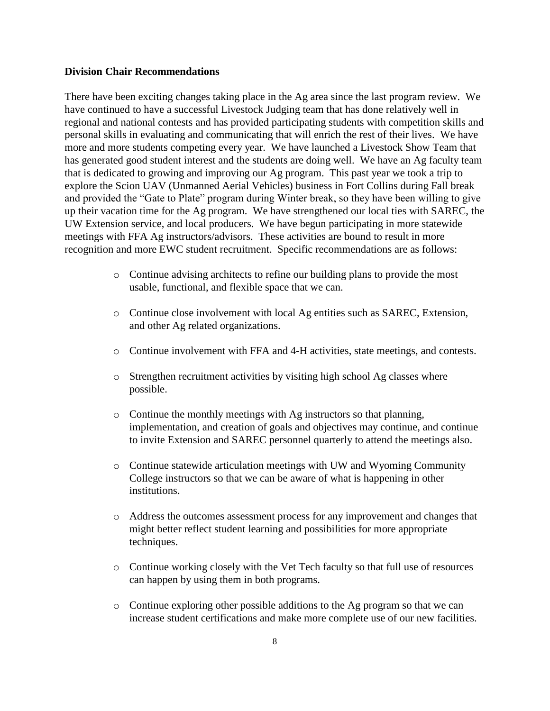## **Division Chair Recommendations**

There have been exciting changes taking place in the Ag area since the last program review. We have continued to have a successful Livestock Judging team that has done relatively well in regional and national contests and has provided participating students with competition skills and personal skills in evaluating and communicating that will enrich the rest of their lives. We have more and more students competing every year. We have launched a Livestock Show Team that has generated good student interest and the students are doing well. We have an Ag faculty team that is dedicated to growing and improving our Ag program. This past year we took a trip to explore the Scion UAV (Unmanned Aerial Vehicles) business in Fort Collins during Fall break and provided the "Gate to Plate" program during Winter break, so they have been willing to give up their vacation time for the Ag program. We have strengthened our local ties with SAREC, the UW Extension service, and local producers. We have begun participating in more statewide meetings with FFA Ag instructors/advisors. These activities are bound to result in more recognition and more EWC student recruitment. Specific recommendations are as follows:

- o Continue advising architects to refine our building plans to provide the most usable, functional, and flexible space that we can.
- o Continue close involvement with local Ag entities such as SAREC, Extension, and other Ag related organizations.
- o Continue involvement with FFA and 4-H activities, state meetings, and contests.
- o Strengthen recruitment activities by visiting high school Ag classes where possible.
- o Continue the monthly meetings with Ag instructors so that planning, implementation, and creation of goals and objectives may continue, and continue to invite Extension and SAREC personnel quarterly to attend the meetings also.
- o Continue statewide articulation meetings with UW and Wyoming Community College instructors so that we can be aware of what is happening in other institutions.
- o Address the outcomes assessment process for any improvement and changes that might better reflect student learning and possibilities for more appropriate techniques.
- o Continue working closely with the Vet Tech faculty so that full use of resources can happen by using them in both programs.
- o Continue exploring other possible additions to the Ag program so that we can increase student certifications and make more complete use of our new facilities.